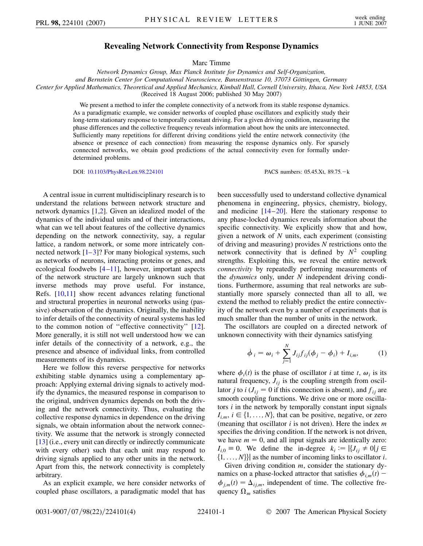## **Revealing Network Connectivity from Response Dynamics**

Marc Timme

*Network Dynamics Group, Max Planck Institute for Dynamics and Self-Organization, and Bernstein Center for Computational Neuroscience, Bunsenstrasse 10, 37073 Göttingen, Germany Center for Applied Mathematics, Theoretical and Applied Mechanics, Kimball Hall, Cornell University, Ithaca, New York 14853, USA* (Received 18 August 2006; published 30 May 2007)

> We present a method to infer the complete connectivity of a network from its stable response dynamics. As a paradigmatic example, we consider networks of coupled phase oscillators and explicitly study their long-term stationary response to temporally constant driving. For a given driving condition, measuring the phase differences and the collective frequency reveals information about how the units are interconnected. Sufficiently many repetitions for different driving conditions yield the entire network connectivity (the absence or presence of each connection) from measuring the response dynamics only. For sparsely connected networks, we obtain good predictions of the actual connectivity even for formally underdetermined problems.

> DOI: [10.1103/PhysRevLett.98.224101](http://dx.doi.org/10.1103/PhysRevLett.98.224101) PACS numbers: 05.45.Xt, 89.75. - k

A central issue in current multidisciplinary research is to understand the relations between network structure and network dynamics [[1,](#page-3-0)[2\]](#page-3-1). Given an idealized model of the dynamics of the individual units and of their interactions, what can we tell about features of the collective dynamics depending on the network connectivity, say, a regular lattice, a random network, or some more intricately connected network  $[1-3]$  $[1-3]$  $[1-3]$ ? For many biological systems, such as networks of neurons, interacting proteins or genes, and ecological foodwebs [[4](#page-3-3)[–11\]](#page-3-4), however, important aspects of the network structure are largely unknown such that inverse methods may prove useful. For instance, Refs. [[10](#page-3-5),[11](#page-3-4)] show recent advances relating functional and structural properties in neuronal networks using (passive) observation of the dynamics. Originally, the inability to infer details of the connectivity of neural systems has led to the common notion of ''effective connectivity'' [[12\]](#page-3-6). More generally, it is still not well understood how we can infer details of the connectivity of a network, e.g., the presence and absence of individual links, from controlled measurements of its dynamics.

Here we follow this reverse perspective for networks exhibiting stable dynamics using a complementary approach: Applying external driving signals to actively modify the dynamics, the measured response in comparison to the original, undriven dynamics depends on both the driving and the network connectivity. Thus, evaluating the collective response dynamics in dependence on the driving signals, we obtain information about the network connectivity. We assume that the network is strongly connected [\[13\]](#page-3-7) (i.e., every unit can directly or indirectly communicate with every other) such that each unit may respond to driving signals applied to any other units in the network. Apart from this, the network connectivity is completely arbitrary.

As an explicit example, we here consider networks of coupled phase oscillators, a paradigmatic model that has been successfully used to understand collective dynamical phenomena in engineering, physics, chemistry, biology, and medicine  $[14–20]$  $[14–20]$  $[14–20]$  $[14–20]$  $[14–20]$ . Here the stationary response to any phase-locked dynamics reveals information about the specific connectivity. We explicitly show that and how, given a network of *N* units, each experiment (consisting of driving and measuring) provides *N* restrictions onto the network connectivity that is defined by  $N^2$  coupling strengths. Exploiting this, we reveal the entire network *connectivity* by repeatedly performing measurements of the *dynamics* only, under *N* independent driving conditions. Furthermore, assuming that real networks are substantially more sparsely connected than all to all, we extend the method to reliably predict the entire connectivity of the network even by a number of experiments that is much smaller than the number of units in the network.

The oscillators are coupled on a directed network of unknown connectivity with their dynamics satisfying

$$
\dot{\phi}_i = \omega_i + \sum_{j=1}^N J_{ij} f_{ij} (\phi_j - \phi_i) + I_{i,m}, \qquad (1)
$$

where  $\phi_i(t)$  is the phase of oscillator *i* at time *t*,  $\omega_i$  is its natural frequency,  $J_{ii}$  is the coupling strength from oscillator *j* to *i* ( $J_{ij} = 0$  if this connection is absent), and  $f_{ij}$  are smooth coupling functions. We drive one or more oscillators *i* in the network by temporally constant input signals  $I_{i,m}$ ,  $i \in \{1, \ldots, N\}$ , that can be positive, negative, or zero (meaning that oscillator *i* is not driven). Here the index *m* specifies the driving condition. If the network is not driven, we have  $m = 0$ , and all input signals are identically zero:  $I_{i,0} \equiv 0$ . We define the in-degree  $k_i := |\{J_{ij} \neq 0 | j \in \mathbb{R}\}|$  $\{1, \ldots, N\}\}\$ as the number of incoming links to oscillator *i*.

Given driving condition *m*, consider the stationary dynamics on a phase-locked attractor that satisfies  $\phi_{i,m}(t)$  –  $\phi_{j,m}(t) = \Delta_{ij,m}$ , independent of time. The collective frequency  $\Omega_m$  satisfies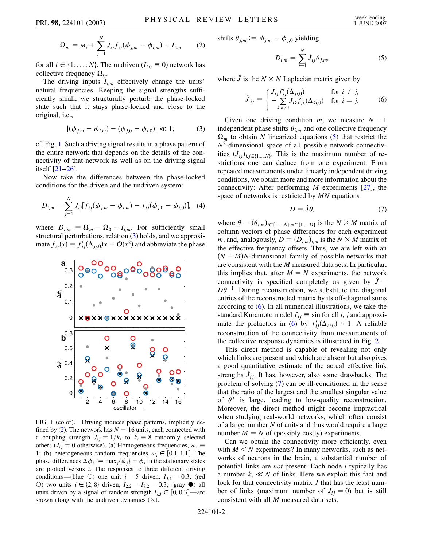<span id="page-1-5"></span>
$$
\Omega_m = \omega_i + \sum_{j=1}^{N} J_{ij} f_{ij} (\phi_{j,m} - \phi_{i,m}) + I_{i,m}
$$
 (2)

for all  $i \in \{1, ..., N\}$ . The undriven ( $I_{i,0} \equiv 0$ ) network has collective frequency  $\Omega_0$ .

The driving inputs  $I_{i,m}$  effectively change the units' natural frequencies. Keeping the signal strengths sufficiently small, we structurally perturb the phase-locked state such that it stays phase-locked and close to the original, i.e.,

$$
|(\phi_{j,m} - \phi_{i,m}) - (\phi_{j,0} - \phi_{i,0})| \ll 1; \tag{3}
$$

<span id="page-1-1"></span>cf. Fig. [1](#page-1-0). Such a driving signal results in a phase pattern of the entire network that depends on the details of the connectivity of that network as well as on the driving signal itself [\[21](#page-3-10)[–26\]](#page-3-11).

Now take the differences between the phase-locked conditions for the driven and the undriven system:

$$
D_{i,m} = \sum_{j=1}^{N} J_{ij} [f_{ij}(\phi_{j,m} - \phi_{i,m}) - f_{ij}(\phi_{j,0} - \phi_{i,0})], \quad (4)
$$

where  $D_{i,m} := \Omega_m - \Omega_0 - I_{i,m}$ . For sufficiently small structural perturbations, relation ([3\)](#page-1-1) holds, and we approximate  $f_{ij}(x) = f'_{ij}(\Delta_{ji,0})x + \mathcal{O}(x^2)$  and abbreviate the phase

<span id="page-1-0"></span>

<span id="page-1-6"></span>FIG. 1 (color). Driving induces phase patterns, implicitly de-fined by ([2\)](#page-1-5). The network has  $N = 16$  units, each connected with a coupling strength  $J_{ij} = 1/k_i$  to  $k_i \equiv 8$  randomly selected others ( $J_{ij} = 0$  otherwise). (a) Homogeneous frequencies,  $\omega_i$ 1; (b) heterogeneous random frequencies  $\omega_i \in [0.1, 1.1]$ . The phase differences  $\Delta \phi_i := \max_j {\{\phi_j\}} - \phi_i$  in the stationary states are plotted versus *i*. The responses to three different driving conditions—(blue  $\circ$ ) one unit *i* = 5 driven, *I*<sub>5,1</sub> = 0.3; (red ○) two units  $i \in \{2, 8\}$  driven,  $I_{2,2} = I_{8,2} = 0.3$ ; (gray ●) all units driven by a signal of random strength  $I_{i,3} \in [0, 0.3]$ —are shown along with the undriven dynamics  $(\times)$ .

<span id="page-1-2"></span>shifts 
$$
\theta_{j,m} := \phi_{j,m} - \phi_{j,0}
$$
 yielding

$$
D_{i,m} = \sum_{j=1}^{N} \hat{J}_{ij} \theta_{j,m},
$$
 (5)

<span id="page-1-3"></span>where  $\hat{J}$  is the  $N \times N$  Laplacian matrix given by

$$
\hat{J}_{ij} = \begin{cases} J_{ij} f'_{ij}(\Delta_{ji,0}) & \text{for } i \neq j, \\ -\sum_{k,k \neq i} J_{ik} f'_{ik}(\Delta_{ki,0}) & \text{for } i = j. \end{cases}
$$
 (6)

Given one driving condition  $m$ , we measure  $N - 1$ independent phase shifts  $\theta_{i,m}$  and one collective frequency  $\Omega_m$  to obtain *N* linearized equations [\(5\)](#page-1-2) that restrict the *N*2-dimensional space of all possible network connectivities  $(\hat{J}_{ij})_{i,j \in \{1,...,N\}}$ . This is the maximum number of restrictions one can deduce from one experiment. From repeated measurements under linearly independent driving conditions, we obtain more and more information about the connectivity: After performing *M* experiments [\[27](#page-3-12)], the space of networks is restricted by *MN* equations

$$
D = \hat{J}\theta,\tag{7}
$$

<span id="page-1-4"></span>where  $\theta = (\theta_{i,m})_{i \in \{1,\dots,N\}, m \in \{1,\dots,M\}}$  is the  $N \times M$  matrix of column vectors of phase differences for each experiment *m*, and, analogously,  $D = (D_{i,m})_{i,m}$  is the  $N \times M$  matrix of the effective frequency offsets. Thus, we are left with an  $(N - M)N$ -dimensional family of possible networks that are consistent with the *M* measured data sets. In particular, this implies that, after  $M = N$  experiments, the network connectivity is specified completely as given by  $\hat{J} =$  $D\theta^{-1}$ . During reconstruction, we substitute the diagonal entries of the reconstructed matrix by its off-diagonal sums according to  $(6)$ . In all numerical illustrations, we take the standard Kuramoto model  $f_{ij} \equiv \sin$  for all *i*, *j* and approxi-mate the prefactors in ([6](#page-1-3)) by  $f'_{ij}(\Delta_{ij,0}) \approx 1$ . A reliable reconstruction of the connectivity from measurements of the collective response dynamics is illustrated in Fig. [2.](#page-2-0)

This direct method is capable of revealing not only which links are present and which are absent but also gives a good quantitative estimate of the actual effective link strengths  $\hat{J}_{ij}$ . It has, however, also some drawbacks. The problem of solving [\(7\)](#page-1-4) can be ill-conditioned in the sense that the ratio of the largest and the smallest singular value of  $\theta^T$  is large, leading to low-quality reconstruction. Moreover, the direct method might become impractical when studying real-world networks, which often consist of a large number *N* of units and thus would require a large number  $M = N$  of (possibly costly) experiments.

Can we obtain the connectivity more efficiently, even with  $M < N$  experiments? In many networks, such as networks of neurons in the brain, a substantial number of potential links are *not* present: Each node *i* typically has a number  $k_i \ll N$  of links. Here we exploit this fact and look for that connectivity matrix *J* that has the least number of links (maximum number of  $J_{ij} = 0$ ) but is still consistent with all *M* measured data sets.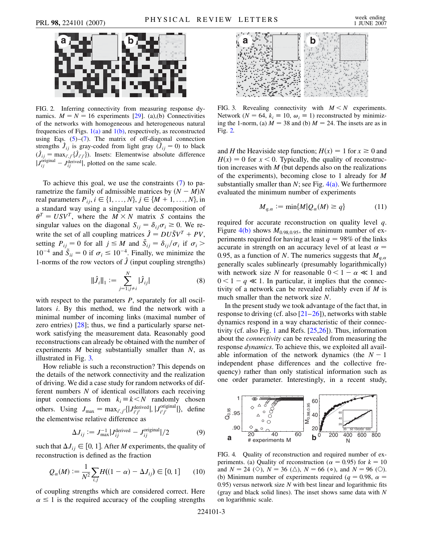<span id="page-2-0"></span>

FIG. 2. Inferring connectivity from measuring response dynamics.  $M = N = 16$  experiments [[29](#page-3-15)]. (a),(b) Connectivities of the networks with homogeneous and heterogeneous natural frequencies of Figs.  $1(a)$  and  $1(b)$ , respectively, as reconstructed using Eqs.  $(5)-(7)$  $(5)-(7)$  $(5)-(7)$ . The matrix of off-diagonal connection strengths  $\hat{J}_{ij}$  is gray-coded from light gray  $(\hat{J}_{ij} = 0)$  to black  $(\hat{J}_{ij} = \max_{i',j'} {\{\hat{J}_{i'j'}\}})$ . Insets: Elementwise absolute difference  $|J_{ij}^{\text{original}} - J_{ij}^{\text{derived}}|$ , plotted on the same scale.

To achieve this goal, we use the constraints [\(7](#page-1-4)) to parametrize the family of admissible matrices by  $(N - M)N$ real parameters  $P_{ij}$ ,  $i \in \{1, ..., N\}$ ,  $j \in \{M + 1, ..., N\}$ , in a standard way using a singular value decomposition of  $\theta^T = USV^T$ , where the  $M \times N$  matrix *S* contains the singular values on the diagonal  $S_{ij} = \delta_{ij} \sigma_i \ge 0$ . We rewrite the set of all coupling matrices  $\hat{J} = DU\tilde{S}V^{T} + PV$ , setting  $P_{ij} = 0$  for all  $j \leq M$  and  $\tilde{S}_{ij} = \delta_{ij}/\sigma_i$  if  $\sigma_i >$  $10^{-4}$  and  $\tilde{S}_{ii} = 0$  if  $\sigma_i \le 10^{-4}$ . Finally, we minimize the 1-norms of the row vectors of  $\hat{J}$  (input coupling strengths)

$$
\|\hat{J}_i\|_1 := \sum_{j=1; j \neq i}^N |\hat{J}_{ij}| \tag{8}
$$

with respect to the parameters *P*, separately for all oscillators *i*. By this method, we find the network with a minimal number of incoming links (maximal number of zero entries) [[28](#page-3-13)]; thus, we find a particularly sparse network satisfying the measurement data. Reasonably good reconstructions can already be obtained with the number of experiments *M* being substantially smaller than *N*, as illustrated in Fig. [3.](#page-2-1)

How reliable is such a reconstruction? This depends on the details of the network connectivity and the realization of driving. We did a case study for random networks of different numbers *N* of identical oscillators each receiving input connections from  $k_i \equiv k \le N$  randomly chosen others. Using  $J_{\text{max}} = \max_{i',j'} \{ |J_{i'j'}^{\text{derived}}|, |J_{i'j'}^{\text{original}}| \}$ , define the elementwise relative difference as

$$
\Delta J_{ij} := J_{\text{max}}^{-1} | J_{ij}^{\text{derived}} - J_{ij}^{\text{original}} | / 2
$$
 (9)

such that  $\Delta J_{ij} \in [0, 1]$ . After *M* experiments, the quality of reconstruction is defined as the fraction

$$
Q_{\alpha}(M) := \frac{1}{N^2} \sum_{i,j} H((1 - \alpha) - \Delta J_{ij}) \in [0, 1]
$$
 (10)

of coupling strengths which are considered correct. Here  $\alpha \leq 1$  is the required accuracy of the coupling strengths

<span id="page-2-1"></span>

FIG. 3. Revealing connectivity with  $M < N$  experiments. Network ( $N = 64$ ,  $k_i \equiv 10$ ,  $\omega_i \equiv 1$ ) reconstructed by minimizing the 1-norm, (a)  $M = 38$  and (b)  $M = 24$ . The insets are as in Fig. [2.](#page-2-0)

and *H* the Heaviside step function;  $H(x) = 1$  for  $x \ge 0$  and  $H(x) = 0$  for  $x < 0$ . Typically, the quality of reconstruction increases with *M* (but depends also on the realizations of the experiments), becoming close to 1 already for *M* substantially smaller than *N*; see Fig. [4\(a\).](#page-2-2) We furthermore evaluated the minimum number of experiments

$$
M_{q,\alpha} := \min\{M|Q_{\alpha}(M) \ge q\} \tag{11}
$$

required for accurate reconstruction on quality level *q*. Figure  $4(b)$  shows  $M_{0.98,0.95}$ , the minimum number of experiments required for having at least  $q = 98\%$  of the links accurate in strength on an accuracy level of at least  $\alpha =$ 0.95, as a function of *N*. The numerics suggests that  $M_{q,\alpha}$ generally scales sublinearly (presumably logarithmically) with network size *N* for reasonable  $0 < 1 - \alpha \ll 1$  and  $0 < 1 - q \ll 1$ . In particular, it implies that the connectivity of a network can be revealed reliably even if *M* is much smaller than the network size *N*.

In the present study we took advantage of the fact that, in response to driving (cf. also  $[21–26]$  $[21–26]$  $[21–26]$ ), networks with stable dynamics respond in a way characteristic of their connectivity (cf. also Fig. [1](#page-1-0) and Refs. [[25](#page-3-14),[26](#page-3-11)]). Thus, information about the *connectivity* can be revealed from measuring the response *dynamics*. To achieve this, we exploited all available information of the network dynamics (the  $N - 1$ independent phase differences and the collective frequency) rather than only statistical information such as one order parameter. Interestingly, in a recent study,



<span id="page-2-2"></span>FIG. 4. Quality of reconstruction and required number of experiments. (a) Quality of reconstruction ( $\alpha = 0.95$ ) for  $k = 10$ and  $N = 24$  ( $\diamondsuit$ ),  $N = 36$  ( $\triangle$ ),  $N = 66$  ( $\circ$ ), and  $N = 96$  ( $\circlearrowright$ ). (b) Minimum number of experiments required ( $q = 0.98$ ,  $\alpha =$ 0*:*95) versus network size *N* with best linear and logarithmic fits (gray and black solid lines). The inset shows same data with *N* on logarithmic scale.